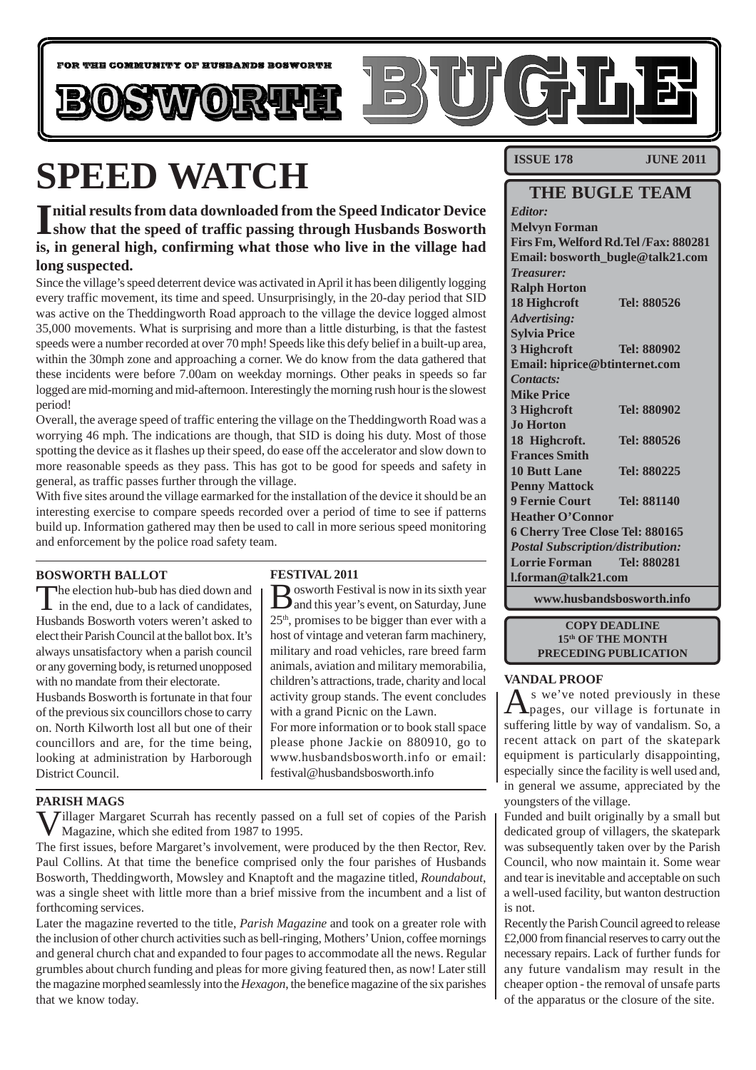

# **SPEED WATCH**

Initial results from data downloaded from the Speed Indicator Device<br>
show that the speed of traffic passing through Husbands Bosworth **show that the speed of traffic passing through Husbands Bosworth is, in general high, confirming what those who live in the village had long suspected.**

Since the village's speed deterrent device was activated in April it has been diligently logging every traffic movement, its time and speed. Unsurprisingly, in the 20-day period that SID was active on the Theddingworth Road approach to the village the device logged almost 35,000 movements. What is surprising and more than a little disturbing, is that the fastest speeds were a number recorded at over 70 mph! Speeds like this defy belief in a built-up area, within the 30mph zone and approaching a corner. We do know from the data gathered that these incidents were before 7.00am on weekday mornings. Other peaks in speeds so far logged are mid-morning and mid-afternoon. Interestingly the morning rush hour is the slowest period!

Overall, the average speed of traffic entering the village on the Theddingworth Road was a worrying 46 mph. The indications are though, that SID is doing his duty. Most of those spotting the device as it flashes up their speed, do ease off the accelerator and slow down to more reasonable speeds as they pass. This has got to be good for speeds and safety in general, as traffic passes further through the village.

With five sites around the village earmarked for the installation of the device it should be an interesting exercise to compare speeds recorded over a period of time to see if patterns build up. Information gathered may then be used to call in more serious speed monitoring and enforcement by the police road safety team.

#### **BOSWORTH BALLOT**

The election hub-bub has died down and I in the end, due to a lack of candidates, Husbands Bosworth voters weren't asked to elect their Parish Council at the ballot box. It's always unsatisfactory when a parish council or any governing body, is returned unopposed with no mandate from their electorate.

Husbands Bosworth is fortunate in that four of the previous six councillors chose to carry on. North Kilworth lost all but one of their councillors and are, for the time being, looking at administration by Harborough District Council.

#### **FESTIVAL 2011**

Bosworth Festival is now in its sixth year and this year's event, on Saturday, June  $25<sup>th</sup>$ , promises to be bigger than ever with a host of vintage and veteran farm machinery, military and road vehicles, rare breed farm animals, aviation and military memorabilia, children's attractions, trade, charity and local activity group stands. The event concludes with a grand Picnic on the Lawn. For more information or to book stall space

please phone Jackie on 880910, go to www.husbandsbosworth.info or email: festival@husbandsbosworth.info

#### **PARISH MAGS**

 $\sum$  Jillager Margaret Scurrah has recently passed on a full set of copies of the Parish Magazine, which she edited from 1987 to 1995.

The first issues, before Margaret's involvement, were produced by the then Rector, Rev. Paul Collins. At that time the benefice comprised only the four parishes of Husbands Bosworth, Theddingworth, Mowsley and Knaptoft and the magazine titled, *Roundabout*, was a single sheet with little more than a brief missive from the incumbent and a list of forthcoming services.

Later the magazine reverted to the title, *Parish Magazine* and took on a greater role with the inclusion of other church activities such as bell-ringing, Mothers' Union, coffee mornings and general church chat and expanded to four pages to accommodate all the news. Regular grumbles about church funding and pleas for more giving featured then, as now! Later still the magazine morphed seamlessly into the *Hexagon*, the benefice magazine of the six parishes that we know today.

**ISSUE 178 JUNE 2011** 

### **THE BUGLE TEAM**

*Editor:* **Melvyn Forman Firs Fm, Welford Rd.Tel /Fax: 880281 Email: bosworth\_bugle@talk21.com** *Treasurer:* **Ralph Horton 18 Highcroft Tel: 880526** *Advertising:* **Sylvia Price 3 Highcroft Tel: 880902 Email: hiprice@btinternet.com** *Contacts:* **Mike Price 3 Highcroft Tel: 880902 Jo Horton 18 Highcroft. Tel: 880526 Frances Smith 10 Butt Lane Tel: 880225 Penny Mattock 9 Fernie Court Tel: 881140 Heather O'Connor 6 Cherry Tree Close Tel: 880165** *Postal Subscription/distribution:* **Lorrie Forman Tel: 880281 l.forman@talk21.com**

**www.husbandsbosworth.info**

#### **COPY DEADLINE 15th OF THE MONTH PRECEDING PUBLICATION**

#### **VANDAL PROOF**

 $A<sub>pages</sub>$ , our village is fortunate in suffering little by way of vandalism. So, a recent attack on part of the skatepark equipment is particularly disappointing, especially since the facility is well used and, in general we assume, appreciated by the youngsters of the village.

Funded and built originally by a small but dedicated group of villagers, the skatepark was subsequently taken over by the Parish Council, who now maintain it. Some wear and tear is inevitable and acceptable on such a well-used facility, but wanton destruction is not.

Recently the Parish Council agreed to release £2,000 from financial reserves to carry out the necessary repairs. Lack of further funds for any future vandalism may result in the cheaper option - the removal of unsafe parts of the apparatus or the closure of the site.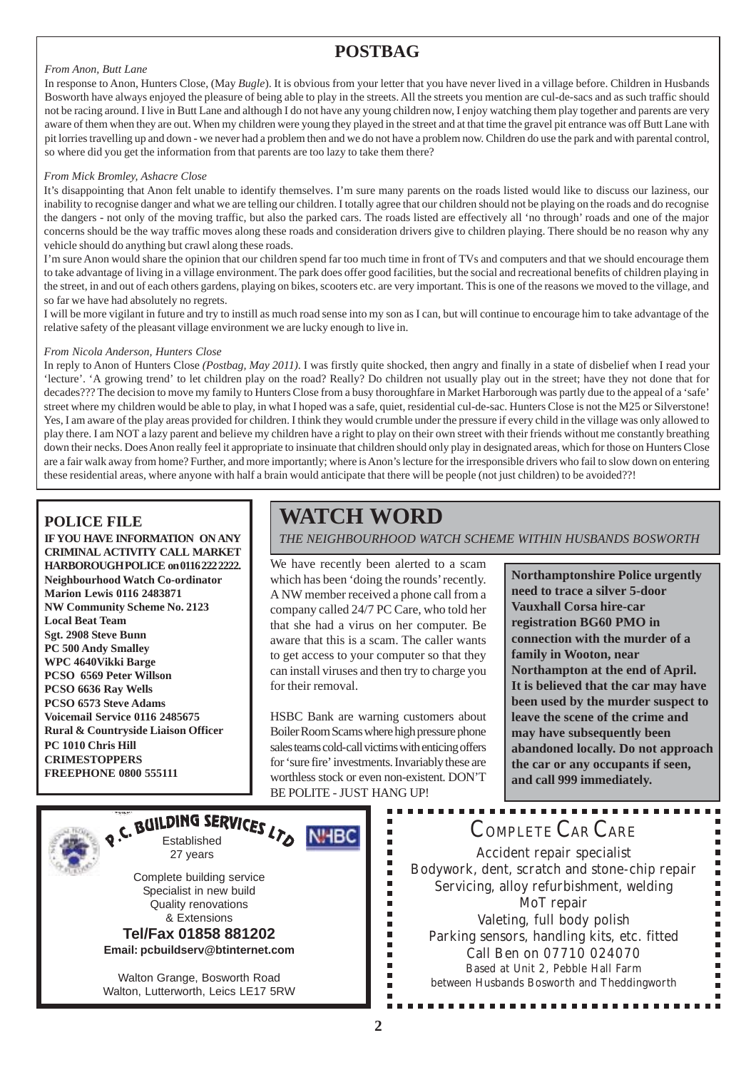### **POSTBAG**

#### *From Anon, Butt Lane*

In response to Anon, Hunters Close, (May *Bugle*). It is obvious from your letter that you have never lived in a village before. Children in Husbands Bosworth have always enjoyed the pleasure of being able to play in the streets. All the streets you mention are cul-de-sacs and as such traffic should not be racing around. I live in Butt Lane and although I do not have any young children now, I enjoy watching them play together and parents are very aware of them when they are out. When my children were young they played in the street and at that time the gravel pit entrance was off Butt Lane with pit lorries travelling up and down - we never had a problem then and we do not have a problem now. Children do use the park and with parental control, so where did you get the information from that parents are too lazy to take them there?

#### *From Mick Bromley, Ashacre Close*

It's disappointing that Anon felt unable to identify themselves. I'm sure many parents on the roads listed would like to discuss our laziness, our inability to recognise danger and what we are telling our children. I totally agree that our children should not be playing on the roads and do recognise the dangers - not only of the moving traffic, but also the parked cars. The roads listed are effectively all 'no through' roads and one of the major concerns should be the way traffic moves along these roads and consideration drivers give to children playing. There should be no reason why any vehicle should do anything but crawl along these roads.

I'm sure Anon would share the opinion that our children spend far too much time in front of TVs and computers and that we should encourage them to take advantage of living in a village environment. The park does offer good facilities, but the social and recreational benefits of children playing in the street, in and out of each others gardens, playing on bikes, scooters etc. are very important. This is one of the reasons we moved to the village, and so far we have had absolutely no regrets.

I will be more vigilant in future and try to instill as much road sense into my son as I can, but will continue to encourage him to take advantage of the relative safety of the pleasant village environment we are lucky enough to live in.

#### *From Nicola Anderson, Hunters Close*

In reply to Anon of Hunters Close *(Postbag, May 2011)*. I was firstly quite shocked, then angry and finally in a state of disbelief when I read your 'lecture'. 'A growing trend' to let children play on the road? Really? Do children not usually play out in the street; have they not done that for decades??? The decision to move my family to Hunters Close from a busy thoroughfare in Market Harborough was partly due to the appeal of a 'safe' street where my children would be able to play, in what I hoped was a safe, quiet, residential cul-de-sac. Hunters Close is not the M25 or Silverstone! Yes, I am aware of the play areas provided for children. I think they would crumble under the pressure if every child in the village was only allowed to play there. I am NOT a lazy parent and believe my children have a right to play on their own street with their friends without me constantly breathing down their necks. Does Anon really feel it appropriate to insinuate that children should only play in designated areas, which for those on Hunters Close are a fair walk away from home? Further, and more importantly; where is Anon's lecture for the irresponsible drivers who fail to slow down on entering these residential areas, where anyone with half a brain would anticipate that there will be people (not just children) to be avoided??!

#### **POLICE FILE**

**IF YOU HAVE INFORMATION ON ANY CRIMINAL ACTIVITY CALL MARKET HARBOROUGH POLICE on 0116 222 2222. Neighbourhood Watch Co-ordinator Marion Lewis 0116 2483871 NW Community Scheme No. 2123 Local Beat Team Sgt. 2908 Steve Bunn PC 500 Andy Smalley WPC 4640Vikki Barge PCSO 6569 Peter Willson PCSO 6636 Ray Wells PCSO 6573 Steve Adams Voicemail Service 0116 2485675 Rural & Countryside Liaison Officer PC 1010 Chris Hill CRIMESTOPPERS FREEPHONE 0800 555111**

### **WATCH WORD**

*THE NEIGHBOURHOOD WATCH SCHEME WITHIN HUSBANDS BOSWORTH*

We have recently been alerted to a scam which has been 'doing the rounds' recently. A NW member received a phone call from a company called 24/7 PC Care, who told her that she had a virus on her computer. Be aware that this is a scam. The caller wants to get access to your computer so that they can install viruses and then try to charge you for their removal.

HSBC Bank are warning customers about Boiler Room Scams where high pressure phone sales teams cold-call victims with enticing offers for 'sure fire' investments. Invariably these are worthless stock or even non-existent. DON'T BE POLITE - JUST HANG UP!

 $\blacksquare$ 

------------

Ē

**Northamptonshire Police urgently need to trace a silver 5-door Vauxhall Corsa hire-car registration BG60 PMO in connection with the murder of a family in Wooton, near Northampton at the end of April. It is believed that the car may have been used by the murder suspect to leave the scene of the crime and may have subsequently been abandoned locally. Do not approach the car or any occupants if seen, and call 999 immediately.**



Walton Grange, Bosworth Road Walton, Lutterworth, Leics LE17 5RW

### COMPLETE CAR CARE

Accident repair specialist Bodywork, dent, scratch and stone-chip repair Servicing, alloy refurbishment, welding MoT repair Valeting, full body polish Parking sensors, handling kits, etc. fitted Call Ben on 07710 024070 Based at Unit 2, Pebble Hall Farm between Husbands Bosworth and Theddingworth

. . . . . . . . . . .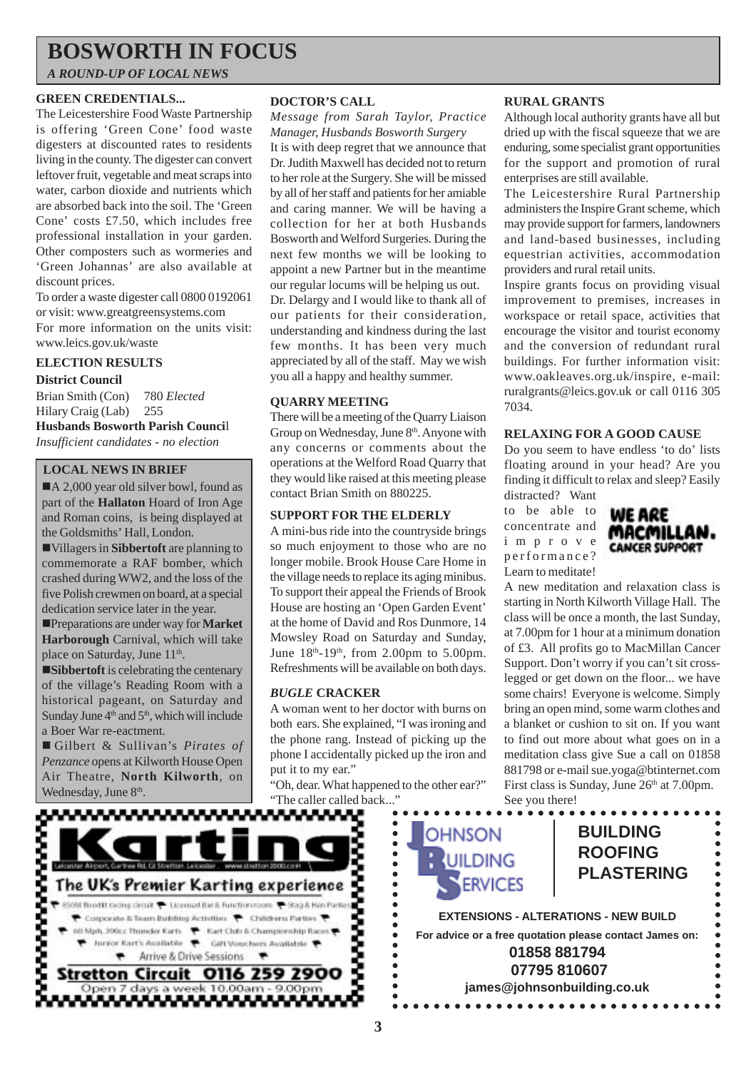### **BOSWORTH IN FOCUS**

*A ROUND-UP OF LOCAL NEWS*

#### **GREEN CREDENTIALS...**

The Leicestershire Food Waste Partnership is offering 'Green Cone' food waste digesters at discounted rates to residents living in the county. The digester can convert leftover fruit, vegetable and meat scraps into water, carbon dioxide and nutrients which are absorbed back into the soil. The 'Green Cone' costs £7.50, which includes free professional installation in your garden. Other composters such as wormeries and 'Green Johannas' are also available at discount prices.

To order a waste digester call 0800 0192061 or visit: www.greatgreensystems.com For more information on the units visit: www.leics.gov.uk/waste

#### **ELECTION RESULTS**

**District Council** Brian Smith (Con) 780 *Elected* Hilary Craig (Lab) 255 **Husbands Bosworth Parish Counci**l *Insufficient candidates - no election*

#### **LOCAL NEWS IN BRIEF**

A 2,000 year old silver bowl, found as part of the **Hallaton** Hoard of Iron Age and Roman coins, is being displayed at the Goldsmiths' Hall, London.

!Villagers in **Sibbertoft** are planning to commemorate a RAF bomber, which crashed during WW2, and the loss of the five Polish crewmen on board, at a special dedication service later in the year.

!Preparations are under way for **Market Harborough** Carnival, which will take place on Saturday, June 11<sup>th</sup>.

**Sibbertoft** is celebrating the centenary of the village's Reading Room with a historical pageant, on Saturday and Sunday June  $4<sup>th</sup>$  and  $5<sup>th</sup>$ , which will include a Boer War re-eactment.

! Gilbert & Sullivan's *Pirates of Penzance* opens at Kilworth House Open Air Theatre, **North Kilworth**, on Wednesday, June 8<sup>th</sup>.

#### **DOCTOR'S CALL**

*Message from Sarah Taylor, Practice Manager, Husbands Bosworth Surgery*

It is with deep regret that we announce that Dr. Judith Maxwell has decided not to return to her role at the Surgery. She will be missed by all of her staff and patients for her amiable and caring manner. We will be having a collection for her at both Husbands Bosworth and Welford Surgeries. During the next few months we will be looking to appoint a new Partner but in the meantime our regular locums will be helping us out. Dr. Delargy and I would like to thank all of our patients for their consideration, understanding and kindness during the last few months. It has been very much appreciated by all of the staff. May we wish you all a happy and healthy summer.

#### **QUARRY MEETING**

There will be a meeting of the Quarry Liaison Group on Wednesday, June 8<sup>th</sup>. Anyone with any concerns or comments about the operations at the Welford Road Quarry that they would like raised at this meeting please contact Brian Smith on 880225.

#### **SUPPORT FOR THE ELDERLY**

A mini-bus ride into the countryside brings so much enjoyment to those who are no longer mobile. Brook House Care Home in the village needs to replace its aging minibus. To support their appeal the Friends of Brook House are hosting an 'Open Garden Event' at the home of David and Ros Dunmore, 14 Mowsley Road on Saturday and Sunday, June  $18<sup>th</sup>-19<sup>th</sup>$ , from 2.00pm to 5.00pm. Refreshments will be available on both days.

#### *BUGLE* **CRACKER**

A woman went to her doctor with burns on both ears. She explained, "I was ironing and the phone rang. Instead of picking up the phone I accidentally picked up the iron and put it to my ear."

"Oh, dear. What happened to the other ear?" "The caller called back..."

#### **RURAL GRANTS**

Although local authority grants have all but dried up with the fiscal squeeze that we are enduring, some specialist grant opportunities for the support and promotion of rural enterprises are still available.

The Leicestershire Rural Partnership administers the Inspire Grant scheme, which may provide support for farmers, landowners and land-based businesses, including equestrian activities, accommodation providers and rural retail units.

Inspire grants focus on providing visual improvement to premises, increases in workspace or retail space, activities that encourage the visitor and tourist economy and the conversion of redundant rural buildings. For further information visit: www.oakleaves.org.uk/inspire, e-mail: ruralgrants@leics.gov.uk or call 0116 305 7034.

#### **RELAXING FOR A GOOD CAUSE**

Do you seem to have endless 'to do' lists floating around in your head? Are you finding it difficult to relax and sleep? Easily distracted? Want

to be able to concentrate and improve performance? Learn to meditate!



A new meditation and relaxation class is starting in North Kilworth Village Hall. The class will be once a month, the last Sunday, at 7.00pm for 1 hour at a minimum donation of £3. All profits go to MacMillan Cancer Support. Don't worry if you can't sit crosslegged or get down on the floor... we have some chairs! Everyone is welcome. Simply bring an open mind, some warm clothes and a blanket or cushion to sit on. If you want to find out more about what goes on in a meditation class give Sue a call on 01858 881798 or e-mail sue.yoga@btinternet.com First class is Sunday, June 26<sup>th</sup> at 7.00pm.



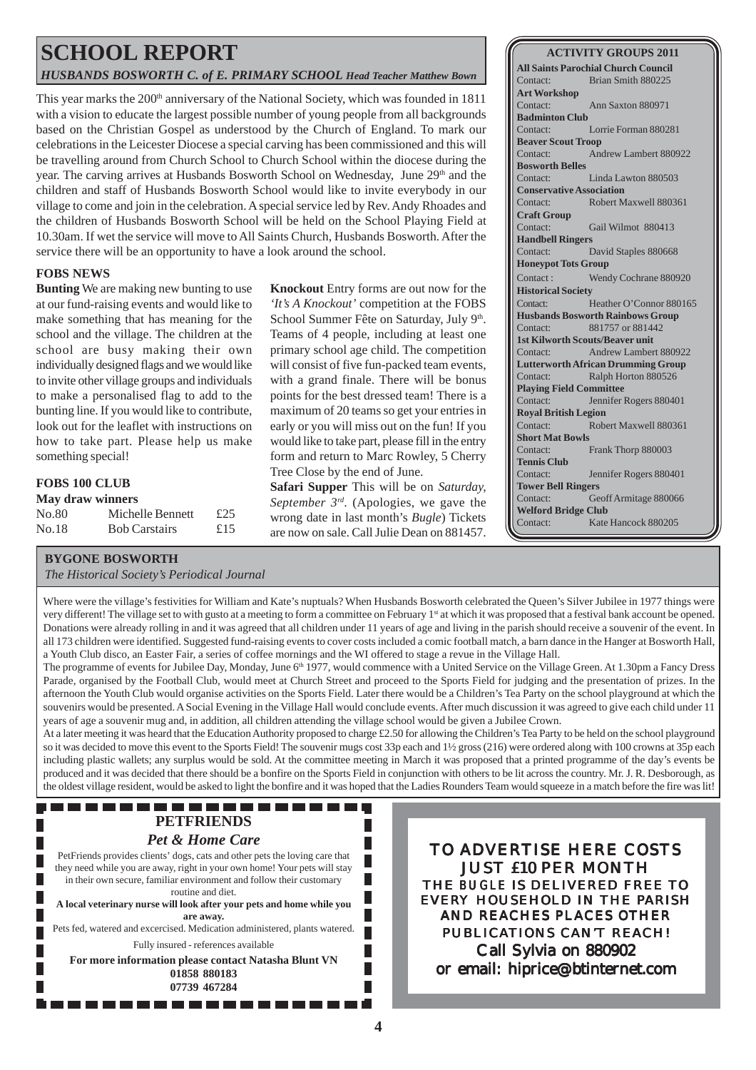### **SCHOOL REPORT** *HUSBANDS BOSWORTH C. of E. PRIMARY SCHOOL Head Teacher Matthew Bown*

This year marks the  $200<sup>th</sup>$  anniversary of the National Society, which was founded in 1811 with a vision to educate the largest possible number of young people from all backgrounds based on the Christian Gospel as understood by the Church of England. To mark our celebrations in the Leicester Diocese a special carving has been commissioned and this will be travelling around from Church School to Church School within the diocese during the year. The carving arrives at Husbands Bosworth School on Wednesday, June 29<sup>th</sup> and the children and staff of Husbands Bosworth School would like to invite everybody in our village to come and join in the celebration. A special service led by Rev. Andy Rhoades and the children of Husbands Bosworth School will be held on the School Playing Field at 10.30am. If wet the service will move to All Saints Church, Husbands Bosworth. After the service there will be an opportunity to have a look around the school.

#### **FOBS NEWS**

**Bunting** We are making new bunting to use at our fund-raising events and would like to make something that has meaning for the school and the village. The children at the school are busy making their own individually designed flags and we would like to invite other village groups and individuals to make a personalised flag to add to the bunting line. If you would like to contribute, look out for the leaflet with instructions on how to take part. Please help us make something special!

#### **FOBS 100 CLUB**

| <b>May draw winners</b> |                      |     |  |
|-------------------------|----------------------|-----|--|
| No.80                   | Michelle Bennett     | £25 |  |
| No.18                   | <b>Bob Carstairs</b> | £15 |  |

**Knockout** Entry forms are out now for the *'It's A Knockout'* competition at the FOBS School Summer Fête on Saturday, July 9th. Teams of 4 people, including at least one primary school age child. The competition will consist of five fun-packed team events, with a grand finale. There will be bonus points for the best dressed team! There is a maximum of 20 teams so get your entries in early or you will miss out on the fun! If you would like to take part, please fill in the entry form and return to Marc Rowley, 5 Cherry Tree Close by the end of June.

**Safari Supper** This will be on *Saturday, September 3rd*. (Apologies, we gave the wrong date in last month's *Bugle*) Tickets are now on sale. Call Julie Dean on 881457.

#### **ACTIVITY GROUPS 2011**

**All Saints Parochial Church Council** Contact: Brian Smith 880225 **Art Workshop** Contact: Ann Saxton 880971 **Badminton Club** Contact: Lorrie Forman 880281 **Beaver Scout Troop** Contact: Andrew Lambert 880922 **Bosworth Belles** Contact: Linda Lawton 880503 **Conservative Association** Contact: Robert Maxwell 880361 **Craft Group** Contact: Gail Wilmot 880413 **Handbell Ringers** Contact: David Staples 880668 **Honeypot Tots Group** Contact : Wendy Cochrane 880920 **Historical Society** Contact: Heather O'Connor 880165 **Husbands Bosworth Rainbows Group** Contact: 881757 or 881442 **1st Kilworth Scouts/Beaver unit** Contact: Andrew Lambert 880922 **Lutterworth African Drumming Group** Contact: Ralph Horton 880526 **Playing Field Committee** Contact: Jennifer Rogers 880401 **Royal British Legion** Contact: Robert Maxwell 880361 **Short Mat Bowls** Contact: Frank Thorp 880003 **Tennis Club** Contact: Jennifer Rogers 880401 **Tower Bell Ringers** Contact: Geoff Armitage 880066 **Welford Bridge Club** Contact: Kate Hancock 880205

#### **BYGONE BOSWORTH**

*The Historical Society's Periodical Journal*

Where were the village's festivities for William and Kate's nuptuals? When Husbands Bosworth celebrated the Queen's Silver Jubilee in 1977 things were very different! The village set to with gusto at a meeting to form a committee on February 1st at which it was proposed that a festival bank account be opened. Donations were already rolling in and it was agreed that all children under 11 years of age and living in the parish should receive a souvenir of the event. In all 173 children were identified. Suggested fund-raising events to cover costs included a comic football match, a barn dance in the Hanger at Bosworth Hall, a Youth Club disco, an Easter Fair, a series of coffee mornings and the WI offered to stage a revue in the Village Hall.

The programme of events for Jubilee Day, Monday, June 6<sup>th</sup> 1977, would commence with a United Service on the Village Green. At 1.30pm a Fancy Dress Parade, organised by the Football Club, would meet at Church Street and proceed to the Sports Field for judging and the presentation of prizes. In the afternoon the Youth Club would organise activities on the Sports Field. Later there would be a Children's Tea Party on the school playground at which the souvenirs would be presented. A Social Evening in the Village Hall would conclude events. After much discussion it was agreed to give each child under 11 years of age a souvenir mug and, in addition, all children attending the village school would be given a Jubilee Crown.

At a later meeting it was heard that the Education Authority proposed to charge £2.50 for allowing the Children's Tea Party to be held on the school playground so it was decided to move this event to the Sports Field! The souvenir mugs cost 33p each and 1½ gross (216) were ordered along with 100 crowns at 35p each including plastic wallets; any surplus would be sold. At the committee meeting in March it was proposed that a printed programme of the day's events be produced and it was decided that there should be a bonfire on the Sports Field in conjunction with others to be lit across the country. Mr. J. R. Desborough, as the oldest village resident, would be asked to light the bonfire and it was hoped that the Ladies Rounders Team would squeeze in a match before the fire was lit!

П

#### -----------------**PETFRIENDS** *Pet & Home Care*

PetFriends provides clients' dogs, cats and other pets the loving care that they need while you are away, right in your own home! Your pets will stay

in their own secure, familiar environment and follow their customary routine and diet. **A local veterinary nurse will look after your pets and home while you are away.** Pets fed, watered and excercised. Medication administered, plants watered. Fully insured - references available

**For more information please contact Natasha Blunt VN 01858 880183 07739 467284**

TO ADVERTISE HERE COSTS JUST £10 PER MONTH THE *BUGLE* IS DELIVERED FREE TO EVERY HOUSEHOLD IN THE PARISH AND REACHES PLACES OTHER PUBLICATIONS CAN'T REACH! Call Sylvia on 880902 or email: hiprice@btinternet.com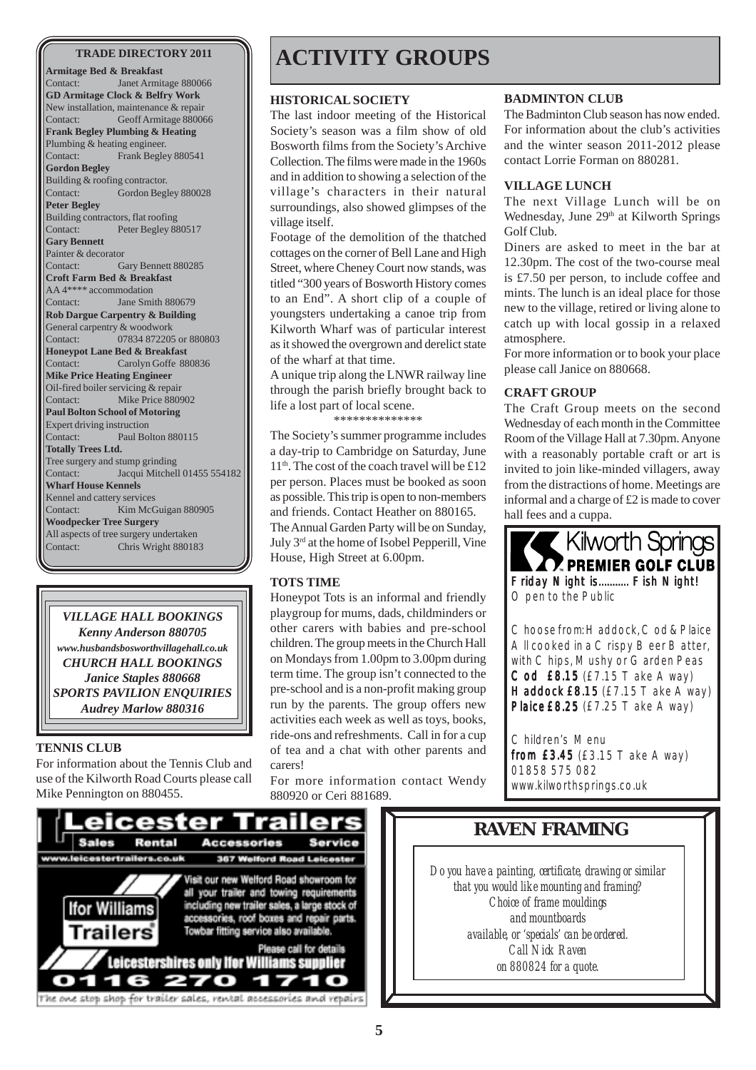**Armitage Bed & Breakfast** Contact: Janet Armitage 880066 **GD Armitage Clock & Belfry Work** New installation, maintenance & repair Contact: Geoff Armitage 880066 **Frank Begley Plumbing & Heating** Plumbing & heating engineer. Contact: Frank Begley 880541 **Gordon Begley** Building & roofing contractor. Contact: Gordon Begley 880028 **Peter Begley** Building contractors, flat roofing Contact: Peter Begley 880517 **Gary Bennett** Painter & decorator Contact: Gary Bennett 880285 **Croft Farm Bed & Breakfast** AA 4\*\*\*\* accommodation Contact: Jane Smith 880679 **Rob Dargue Carpentry & Building** General carpentry & woodwork Contact: 07834 872205 or 880803 **Honeypot Lane Bed & Breakfast** Contact: Carolyn Goffe 880836 **Mike Price Heating Engineer** Oil-fired boiler servicing & repair Contact: Mike Price 880902 **Paul Bolton School of Motoring** Expert driving instruction Contact: Paul Bolton 880115 **Totally Trees Ltd.** Tree surgery and stump grinding Contact: Jacqui Mitchell 01455 554182 **Wharf House Kennels** Kennel and cattery services Contact: Kim McGuigan 880905 **Woodpecker Tree Surgery** All aspects of tree surgery undertaken Contact: Chris Wright 880183



#### **TENNIS CLUB**

For information about the Tennis Club and use of the Kilworth Road Courts please call Mike Pennington on 880455.

### TRADE DIRECTORY 2011 **ACTIVITY GROUPS**

#### **HISTORICAL SOCIETY**

The last indoor meeting of the Historical Society's season was a film show of old Bosworth films from the Society's Archive Collection. The films were made in the 1960s and in addition to showing a selection of the village's characters in their natural surroundings, also showed glimpses of the village itself.

Footage of the demolition of the thatched cottages on the corner of Bell Lane and High Street, where Cheney Court now stands, was titled "300 years of Bosworth History comes to an End". A short clip of a couple of youngsters undertaking a canoe trip from Kilworth Wharf was of particular interest as it showed the overgrown and derelict state of the wharf at that time.

A unique trip along the LNWR railway line through the parish briefly brought back to life a lost part of local scene.

\*\*\*\*\*\*\*\*\*\*\*\*\*

The Society's summer programme includes a day-trip to Cambridge on Saturday, June  $11<sup>th</sup>$ . The cost of the coach travel will be £12 per person. Places must be booked as soon as possible. This trip is open to non-members and friends. Contact Heather on 880165. The Annual Garden Party will be on Sunday, July 3rd at the home of Isobel Pepperill, Vine House, High Street at 6.00pm.

#### **TOTS TIME**

Honeypot Tots is an informal and friendly playgroup for mums, dads, childminders or other carers with babies and pre-school children. The group meets in the Church Hall on Mondays from 1.00pm to 3.00pm during term time. The group isn't connected to the pre-school and is a non-profit making group run by the parents. The group offers new activities each week as well as toys, books, ride-ons and refreshments. Call in for a cup of tea and a chat with other parents and carers!

For more information contact Wendy 880920 or Ceri 881689.

#### **BADMINTON CLUB**

The Badminton Club season has now ended. For information about the club's activities and the winter season 2011-2012 please contact Lorrie Forman on 880281.

#### **VILLAGE LUNCH**

The next Village Lunch will be on Wednesday, June 29<sup>th</sup> at Kilworth Springs Golf Club.

Diners are asked to meet in the bar at 12.30pm. The cost of the two-course meal is £7.50 per person, to include coffee and mints. The lunch is an ideal place for those new to the village, retired or living alone to catch up with local gossip in a relaxed atmosphere.

For more information or to book your place please call Janice on 880668.

#### **CRAFT GROUP**

The Craft Group meets on the second Wednesday of each month in the Committee Room of the Village Hall at 7.30pm. Anyone with a reasonably portable craft or art is invited to join like-minded villagers, away from the distractions of home. Meetings are informal and a charge of £2 is made to cover hall fees and a cuppa.



Choose from: Haddock, Cod & Plaice All cooked in a Crispy Beer Batter, with Chips, Mushy or Garden Peas Cod £8.15 (£7.15 Take Away) Haddock £8.15 ( $£7.15$  T ake Away) Plaice£8.25 (£7.25 Take Away)

Children's Menu from £3.45 (£3.15 Take Away) 01858 575 082 www.kilworthsprings.co.uk



### **RAVEN FRAMING**

*Do you have a painting, certificate, drawing or similar that you would like mounting and framing? Choice of frame mouldings and mountboards available, or 'specials' can be ordered. Call Nick Raven on 880824 for a quote.*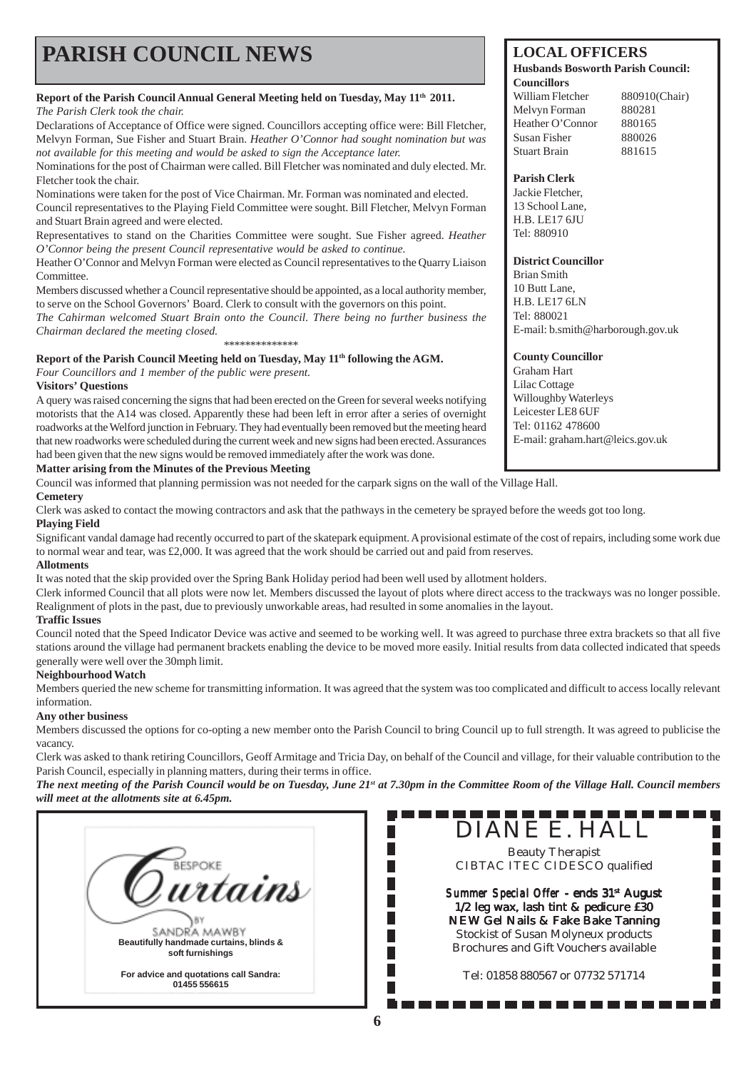## **PARISH COUNCIL NEWS** LOCAL OFFICERS

#### **Report of the Parish Council Annual General Meeting held on Tuesday, May 11th 2011.** *The Parish Clerk took the chair.*

Declarations of Acceptance of Office were signed. Councillors accepting office were: Bill Fletcher, Melvyn Forman, Sue Fisher and Stuart Brain. *Heather O'Connor had sought nomination but was not available for this meeting and would be asked to sign the Acceptance later.*

Nominations for the post of Chairman were called. Bill Fletcher was nominated and duly elected. Mr. Fletcher took the chair.

Nominations were taken for the post of Vice Chairman. Mr. Forman was nominated and elected. Council representatives to the Playing Field Committee were sought. Bill Fletcher, Melvyn Forman and Stuart Brain agreed and were elected.

Representatives to stand on the Charities Committee were sought. Sue Fisher agreed. *Heather O'Connor being the present Council representative would be asked to continue.*

Heather O'Connor and Melvyn Forman were elected as Council representatives to the Quarry Liaison **Committee.** 

Members discussed whether a Council representative should be appointed, as a local authority member, to serve on the School Governors' Board. Clerk to consult with the governors on this point.

*The Cahirman welcomed Stuart Brain onto the Council. There being no further business the Chairman declared the meeting closed.* \*\*\*\*\*\*\*\*\*\*\*\*\*\*

#### Report of the Parish Council Meeting held on Tuesday, May 11<sup>th</sup> following the AGM.

*Four Councillors and 1 member of the public were present.*

#### **Visitors' Questions**

A query was raised concerning the signs that had been erected on the Green for several weeks notifying motorists that the A14 was closed. Apparently these had been left in error after a series of overnight roadworks at the Welford junction in February. They had eventually been removed but the meeting heard that new roadworks were scheduled during the current week and new signs had been erected. Assurances had been given that the new signs would be removed immediately after the work was done.

#### **Matter arising from the Minutes of the Previous Meeting**

Council was informed that planning permission was not needed for the carpark signs on the wall of the Village Hall.

#### **Cemetery**

Clerk was asked to contact the mowing contractors and ask that the pathways in the cemetery be sprayed before the weeds got too long. **Playing Field**

Significant vandal damage had recently occurred to part of the skatepark equipment. A provisional estimate of the cost of repairs, including some work due to normal wear and tear, was £2,000. It was agreed that the work should be carried out and paid from reserves.

#### **Allotments**

It was noted that the skip provided over the Spring Bank Holiday period had been well used by allotment holders.

Clerk informed Council that all plots were now let. Members discussed the layout of plots where direct access to the trackways was no longer possible. Realignment of plots in the past, due to previously unworkable areas, had resulted in some anomalies in the layout.

#### **Traffic Issues**

Council noted that the Speed Indicator Device was active and seemed to be working well. It was agreed to purchase three extra brackets so that all five stations around the village had permanent brackets enabling the device to be moved more easily. Initial results from data collected indicated that speeds generally were well over the 30mph limit.

#### **Neighbourhood Watch**

Members queried the new scheme for transmitting information. It was agreed that the system was too complicated and difficult to access locally relevant information.

#### **Any other business**

Members discussed the options for co-opting a new member onto the Parish Council to bring Council up to full strength. It was agreed to publicise the vacancy.

Clerk was asked to thank retiring Councillors, Geoff Armitage and Tricia Day, on behalf of the Council and village, for their valuable contribution to the Parish Council, especially in planning matters, during their terms in office.

FUTURERERERERERE<br>F. DIANE E. HALL *The next meeting of the Parish Council would be on Tuesday, June 21st at 7.30pm in the Committee Room of the Village Hall. Council members will meet at the allotments site at 6.45pm.*

П F.

П

П



#### **Husbands Bosworth Parish Council: Councillors**

William Fletcher 880910(Chair) Melvyn Forman 880281 Heather O'Connor 880165<br>Susan Fisher 880026 Susan Fisher Stuart Brain 881615

#### **Parish Clerk**

Jackie Fletcher, 13 School Lane, H.B. LE17 6JU Tel: 880910

#### **District Councillor**

Brian Smith 10 Butt Lane, H.B. LE17 6LN Tel: 880021 E-mail: b.smith@harborough.gov.uk

#### **County Councillor**

Graham Hart Lilac Cottage Willoughby Waterleys Leicester LE8 6UF Tel: 01162 478600 E-mail: graham.hart@leics.gov.uk

Beauty Therapist CIBTAC ITEC CIDESCO qualified

*Summer Special Offer* - ends 31st August 1/2 leg wax, lash tint & pedicure £30 NEW Gel Nails & Fake Bake Tanning Stockist of Susan Molyneux products Brochures and Gift Vouchers available

Tel: 01858 880567 or 07732 571714

. . . . . . . . . . . . .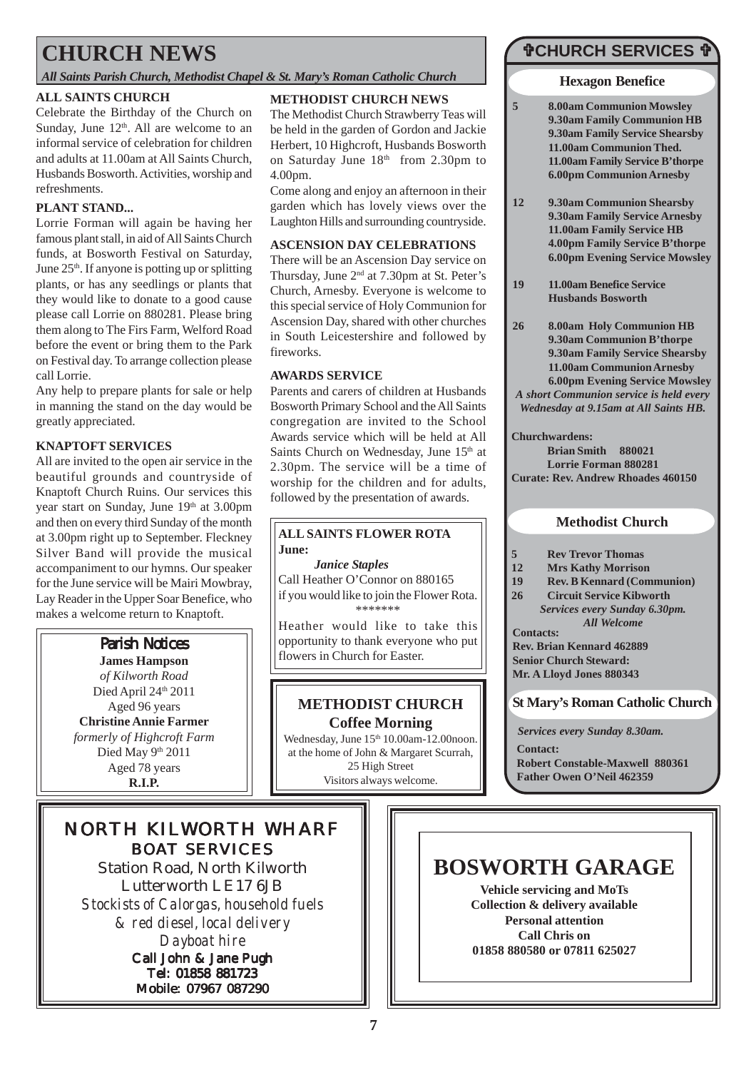### **CHURCH NEWS**

*All Saints Parish Church, Methodist Chapel & St. Mary's Roman Catholic Church*

#### **ALL SAINTS CHURCH**

Celebrate the Birthday of the Church on Sunday, June  $12<sup>th</sup>$ . All are welcome to an informal service of celebration for children and adults at 11.00am at All Saints Church, Husbands Bosworth. Activities, worship and refreshments.

#### **PLANT STAND...**

Lorrie Forman will again be having her famous plant stall, in aid of All Saints Church funds, at Bosworth Festival on Saturday, June 25<sup>th</sup>. If anyone is potting up or splitting plants, or has any seedlings or plants that they would like to donate to a good cause please call Lorrie on 880281. Please bring them along to The Firs Farm, Welford Road before the event or bring them to the Park on Festival day. To arrange collection please call Lorrie.

Any help to prepare plants for sale or help in manning the stand on the day would be greatly appreciated.

#### **KNAPTOFT SERVICES**

All are invited to the open air service in the beautiful grounds and countryside of Knaptoft Church Ruins. Our services this year start on Sunday, June 19th at 3.00pm and then on every third Sunday of the month at 3.00pm right up to September. Fleckney Silver Band will provide the musical accompaniment to our hymns. Our speaker for the June service will be Mairi Mowbray, Lay Reader in the Upper Soar Benefice, who makes a welcome return to Knaptoft.



### NORTH KILWORTH WHARF BOAT SERVICES

Station Road, North Kilworth Lutterworth LE17 6JB *Stockists of Calorgas, household fuels & red diesel, local delivery Dayboat hire* Call John & Jane Pugh Tel: 01858 881723 Mobile: 07967 087290

#### **METHODIST CHURCH NEWS**

The Methodist Church Strawberry Teas will be held in the garden of Gordon and Jackie Herbert, 10 Highcroft, Husbands Bosworth on Saturday June 18<sup>th</sup> from 2.30pm to 4.00pm.

Come along and enjoy an afternoon in their garden which has lovely views over the Laughton Hills and surrounding countryside.

#### **ASCENSION DAY CELEBRATIONS**

There will be an Ascension Day service on Thursday, June 2nd at 7.30pm at St. Peter's Church, Arnesby. Everyone is welcome to this special service of Holy Communion for Ascension Day, shared with other churches in South Leicestershire and followed by fireworks.

#### **AWARDS SERVICE**

Parents and carers of children at Husbands Bosworth Primary School and the All Saints congregation are invited to the School Awards service which will be held at All Saints Church on Wednesday, June 15<sup>th</sup> at 2.30pm. The service will be a time of worship for the children and for adults, followed by the presentation of awards.

#### **ALL SAINTS FLOWER ROTA June:**

*Janice Staples* Call Heather O'Connor on 880165 if you would like to join the Flower Rota. \*\*\*\*\*\*\*

Heather would like to take this opportunity to thank everyone who put flowers in Church for Easter.

#### **METHODIST CHURCH Coffee Morning**

Wednesday, June 15<sup>th</sup> 10.00am-12.00noon. at the home of John & Margaret Scurrah, 25 High Street Visitors always welcome.

### **CHURCH SERVICES {**

#### **Hexagon Benefice**

- **5 8.00am Communion Mowsley 9.30am Family Communion HB 9.30am Family Service Shearsby 11.00am Communion Thed. 11.00am Family Service B'thorpe 6.00pm Communion Arnesby**
- **12 9.30am Communion Shearsby 9.30am Family Service Arnesby 11.00am Family Service HB 4.00pm Family Service B'thorpe 6.00pm Evening Service Mowsley**
- **19 11.00am Benefice Service Husbands Bosworth**
- **26 8.00am Holy Communion HB 9.30am Communion B'thorpe 9.30am Family Service Shearsby 11.00am Communion Arnesby 6.00pm Evening Service Mowsley** *A short Communion service is held every Wednesday at 9.15am at All Saints HB.*

**Churchwardens:**

**Brian Smith 880021 Lorrie Forman 880281 Curate: Rev. Andrew Rhoades 460150**

#### **Methodist Church**

- **5 Rev Trevor Thomas**
- **12 Mrs Kathy Morrison**
- **19 Rev. B Kennard (Communion)**
- **26 Circuit Service Kibworth**
- **Contacts:** *Services every Sunday 6.30pm. All Welcome*

**Rev. Brian Kennard 462889 Senior Church Steward: Mr. A Lloyd Jones 880343**

### **St Mary's Roman Catholic Church**

*Services every Sunday 8.30am.*

**Contact:**

**Robert Constable-Maxwell 880361 Father Owen O'Neil 462359**

## **BOSWORTH GARAGE**

**Vehicle servicing and MoTs Collection & delivery available Personal attention Call Chris on 01858 880580 or 07811 625027**